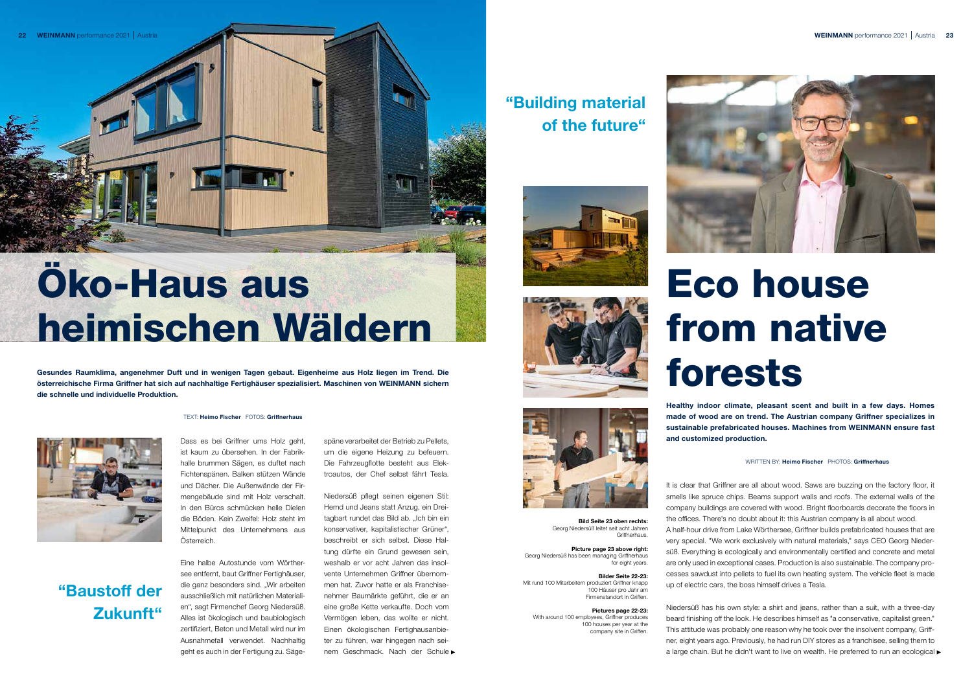Dass es bei Griffner ums Holz geht, ist kaum zu übersehen. In der Fabrikhalle brummen Sägen, es duftet nach Fichtenspänen. Balken stützen Wände und Dächer. Die Außenwände der Firmengebäude sind mit Holz verschalt. In den Büros schmücken helle Dielen die Böden. Kein Zweifel: Holz steht im Mittelpunkt des Unternehmens aus Österreich.

Eine halbe Autostunde vom Wörthersee entfernt, baut Griffner Fertighäuser, die ganz besonders sind. "Wir arbeiten ausschließlich mit natürlichen Materialien", sagt Firmenchef Georg Niedersüß. Alles ist ökologisch und baubiologisch zertifiziert, Beton und Metall wird nur im Ausnahmefall verwendet. Nachhaltig geht es auch in der Fertigung zu. Säge-

späne verarbeitet der Betrieb zu Pellets, um die eigene Heizung zu befeuern. Die Fahrzeugflotte besteht aus Elektroautos, der Chef selbst fährt Tesla.

Niedersüß pflegt seinen eigenen Stil: Hemd und Jeans statt Anzug, ein Dreitagbart rundet das Bild ab. "Ich bin ein konservativer, kapitalistischer Grüner", beschreibt er sich selbst. Diese Haltung dürfte ein Grund gewesen sein, weshalb er vor acht Jahren das insolvente Unternehmen Griffner übernommen hat. Zuvor hatte er als Franchisenehmer Baumärkte geführt, die er an eine große Kette verkaufte. Doch vom Vermögen leben, das wollte er nicht. Einen ökologischen Fertighausanbieter zu führen, war hingegen nach seinem Geschmack. Nach der Schule

Niedersüß has his own style: a shirt and jeans, rather than a suit, with a three-day beard finishing off the look. He describes himself as "a conservative, capitalist green." This attitude was probably one reason why he took over the insolvent company, Griffner, eight years ago. Previously, he had run DIY stores as a franchisee, selling them to a large chain. But he didn't want to live on wealth. He preferred to run an ecological  $\blacktriangleright$ 



Bild Seite 23 oben rechts: Georg Niedersüß leitet seit acht Jahren **Griffnerhaus** 

Picture page 23 above right: Georg Niedersüß has been managing Griffnerhaus for eight years.

Healthy indoor climate, pleasant scent and built in a few days. Homes made of wood are on trend. The Austrian company Griffner specializes in sustainable prefabricated houses. Machines from WEINMANN ensure fast and customized production.

WRITTEN BY: Heimo Fischer PHOTOS: Griffnerhaus



It is clear that Griffner are all about wood. Saws are buzzing on the factory floor, it smells like spruce chips. Beams support walls and roofs. The external walls of the company buildings are covered with wood. Bright floorboards decorate the floors in the offices. There's no doubt about it: this Austrian company is all about wood.

A half-hour drive from Lake Wörthersee, Griffner builds prefabricated houses that are very special. "We work exclusively with natural materials," says CEO Georg Niedersüß. Everything is ecologically and environmentally certified and concrete and metal are only used in exceptional cases. Production is also sustainable. The company processes sawdust into pellets to fuel its own heating system. The vehicle fleet is made up of electric cars, the boss himself drives a Tesla.

#### Bilder Seite 22-23:

Mit rund 100 Mitarbeitern produziert Griffner knapp 100 Häuser pro Jahr am Firmenstandort in Griffen.

#### Pictures page 22-23: With around 100 employees, Griffner produces 100 houses per year at the company site in Griffen.

## "Building material of the future"







# "Baustoff der Zukunft"

# Eco house from native

forests

# Öko-Haus aus heimischen Wäldern

Gesundes Raumklima, angenehmer Duft und in wenigen Tagen gebaut. Eigenheime aus Holz liegen im Trend. Die österreichische Firma Griffner hat sich auf nachhaltige Fertighäuser spezialisiert. Maschinen von WEINMANN sichern die schnelle und individuelle Produktion.

#### TEXT: Heimo Fischer FOTOS: Griffnerhaus

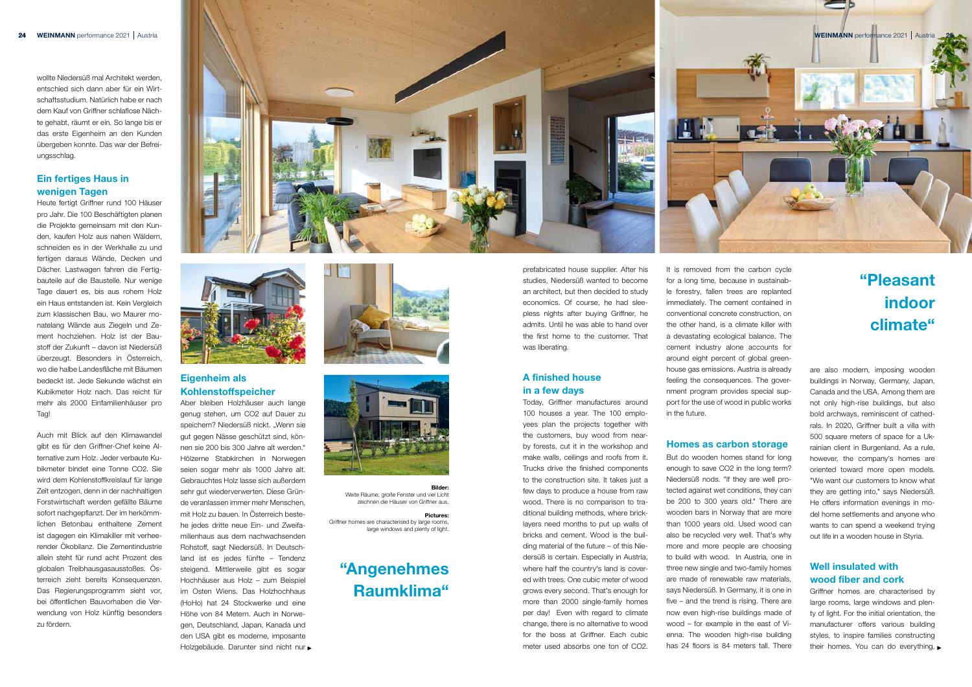wollte Niedersüß mal Architekt werden, entschied sich dann aber für ein Wirtschaftsstudium. Natürlich habe er nach dem Kauf von Griffner schlaflose Nächte gehabt, räumt er ein. So lange bis er das erste Eigenheim an den Kunden übergeben konnte. Das war der Befreiungsschlag.

#### Ein fertiges Haus in wenigen Tagen

Heute fertigt Griffner rund 100 Häuser pro Jahr. Die 100 Beschäftigten planen die Projekte gemeinsam mit den Kunden, kaufen Holz aus nahen Wäldern, schneiden es in der Werkhalle zu und fertigen daraus Wände, Decken und Dächer. Lastwagen fahren die Fertigbauteile auf die Baustelle. Nur wenige Tage dauert es, bis aus rohem Holz ein Haus entstanden ist. Kein Vergleich zum klassischen Bau, wo Maurer monatelang Wände aus Ziegeln und Zement hochziehen. Holz ist der Baustoff der Zukunft – davon ist Niedersüß überzeugt. Besonders in Österreich, wo die halbe Landesfläche mit Bäumen bedeckt ist. Jede Sekunde wächst ein Kubikmeter Holz nach. Das reicht für mehr als 2000 Einfamilienhäuser pro Tag!

Auch mit Blick auf den Klimawandel gibt es für den Griffner-Chef keine Alternative zum Holz. Jeder verbaute Kubikmeter bindet eine Tonne CO2. Sie wird dem Kohlenstoffkreislauf für lange Zeit entzogen, denn in der nachhaltigen Forstwirtschaft werden gefällte Bäume sofort nachgepflanzt. Der im herkömmlichen Betonbau enthaltene Zement ist dagegen ein Klimakiller mit verheerender Ökobilanz. Die Zementindustrie allein steht für rund acht Prozent des globalen Treibhausgasausstoßes. Österreich zieht bereits Konsequenzen. Das Regierungsprogramm sieht vor, bei öffentlichen Bauvorhaben die Verwendung von Holz künftig besonders zu fördern.

It is removed from the carbon cycle for a long time, because in sustainable forestry, fallen trees are replanted immediately. The cement contained in conventional concrete construction, on the other hand, is a climate killer with a devastating ecological balance. The cement industry alone accounts for around eight percent of global greenhouse gas emissions. Austria is already feeling the consequences. The government program provides special support for the use of wood in public works in the future.

prefabricated house supplier. After his studies, Niedersüß wanted to become an architect, but then decided to study economics. Of course, he had sleepless nights after buying Griffner, he admits. Until he was able to hand over the first home to the customer. That was liberating.

#### A finished house in a few days

Griffner homes are characterised by large rooms, large windows and plenty of light. For the initial orientation, the manufacturer offers various building styles, to inspire families constructing their homes. You can do everything,

Today, Griffner manufactures around 100 houses a year. The 100 employees plan the projects together with the customers, buy wood from nearby forests, cut it in the workshop and make walls, ceilings and roofs from it. Trucks drive the finished components to the construction site. It takes just a few days to produce a house from raw wood. There is no comparison to traditional building methods, where bricklayers need months to put up walls of bricks and cement. Wood is the building material of the future – of this Niedersüß is certain. Especially in Austria, where half the country's land is covered with trees. One cubic meter of wood grows every second. That's enough for more than 2000 single-family homes per day! Even with regard to climate change, there is no alternative to wood for the boss at Griffner. Each cubic meter used absorbs one ton of CO2.





#### Homes as carbon storage

But do wooden homes stand for long enough to save CO2 in the long term? Niedersüß nods. "If they are well protected against wet conditions, they can be 200 to 300 years old." There are wooden bars in Norway that are more than 1000 years old. Used wood can also be recycled very well. That's why more and more people are choosing to build with wood. In Austria, one in three new single and two-family homes are made of renewable raw materials, says Niedersüß. In Germany, it is one in five – and the trend is rising. There are now even high-rise buildings made of wood – for example in the east of Vienna. The wooden high-rise building has 24 floors is 84 meters tall. There



are also modern, imposing wooden buildings in Norway, Germany, Japan, Canada and the USA. Among them are not only high-rise buildings, but also bold archways, reminiscent of cathedrals. In 2020, Griffner built a villa with 500 square meters of space for a Ukrainian client in Burgenland. As a rule, however, the company's homes are oriented toward more open models. "We want our customers to know what they are getting into," says Niedersüß. He offers information evenings in model home settlements and anyone who wants to can spend a weekend trying out life in a wooden house in Styria.

#### Well insulated with wood fiber and cork

## "Angenehmes Raumklima"

# "Pleasant indoor climate"



Bilder: Weite Räume, große Fenster und viel Licht zeichnen die Häuser von Griffner aus.

Pictures: Griffner homes are characterised by large rooms, large windows and plenty of light.

#### Eigenheim als Kohlenstoffspeicher

Aber bleiben Holzhäuser auch lange genug stehen, um CO2 auf Dauer zu speichern? Niedersüß nickt. "Wenn sie gut gegen Nässe geschützt sind, können sie 200 bis 300 Jahre alt werden." Hölzerne Stabkirchen in Norwegen seien sogar mehr als 1000 Jahre alt. Gebrauchtes Holz lasse sich außerdem sehr gut wiederverwerten. Diese Gründe veranlassen immer mehr Menschen, mit Holz zu bauen. In Österreich bestehe jedes dritte neue Ein- und Zweifamilienhaus aus dem nachwachsenden Rohstoff, sagt Niedersüß. In Deutschland ist es jedes fünfte – Tendenz steigend. Mittlerweile gibt es sogar Hochhäuser aus Holz – zum Beispiel im Osten Wiens. Das Holzhochhaus (HoHo) hat 24 Stockwerke und eine Höhe von 84 Metern. Auch in Norwegen, Deutschland, Japan, Kanada und den USA gibt es moderne, imposante Holzgebäude. Darunter sind nicht nur

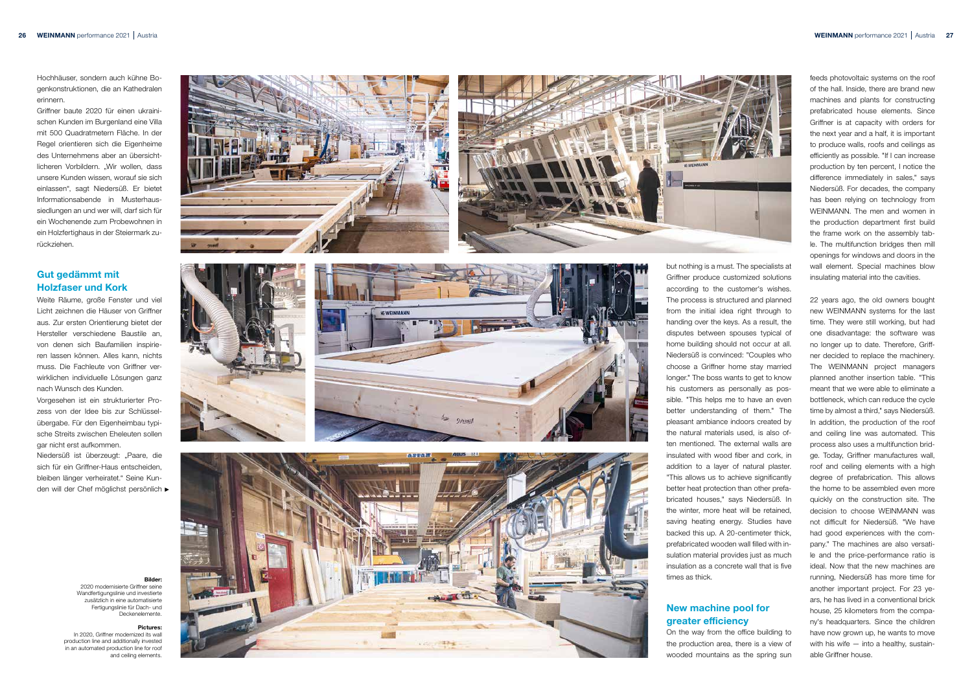but nothing is a must. The specialists at Griffner produce customized solutions according to the customer's wishes. The process is structured and planned from the initial idea right through to handing over the keys. As a result, the disputes between spouses typical of home building should not occur at all. Niedersüß is convinced: "Couples who choose a Griffner home stay married longer." The boss wants to get to know his customers as personally as pos sible. "This helps me to have an even better understanding of them." The pleasant ambiance indoors created by the natural materials used, is also of ten mentioned. The external walls are insulated with wood fiber and cork, in addition to a layer of natural plaster. "This allows us to achieve significantly better heat protection than other prefa bricated houses," says Niedersüß. In the winter, more heat will be retained, saving heating energy. Studies have backed this up. A 20-centimeter thick, prefabricated wooden wall filled with in sulation material provides just as much insulation as a concrete wall that is five times as thick.

### New machine pool for greater efficiency

On the way from the office building to the production area, there is a view of wooded mountains as the spring sun

feeds photovoltaic systems on the roof of the hall. Inside, there are brand new machines and plants for constructing prefabricated house elements. Since Griffner is at capacity with orders for the next year and a half, it is important to produce walls, roofs and ceilings as efficiently as possible. "If I can increase production by ten percent, I notice the difference immediately in sales," says Niedersüß. For decades, the company has been relying on technology from WEINMANN. The men and women in the production department first build the frame work on the assembly tab le. The multifunction bridges then mill openings for windows and doors in the wall element. Special machines blow insulating material into the cavities.

Niedersüß ist überzeugt: "Paare, die sich für ein Griffner-Haus entscheiden, bleiben länger verheiratet." Seine Kun den will der Chef möglichst persönlich 22 years ago, the old owners bought new WEINMANN systems for the last time. They were still working, but had one disadvantage: the software was no longer up to date. Therefore, Griff ner decided to replace the machinery. The WEINMANN project managers planned another insertion table. "This meant that we were able to eliminate a bottleneck, which can reduce the cycle time by almost a third," says Niedersüß. In addition, the production of the roof and ceiling line was automated. This process also uses a multifunction brid ge. Today, Griffner manufactures wall, roof and ceiling elements with a high degree of prefabrication. This allows the home to be assembled even more quickly on the construction site. The decision to choose WEINMANN was not difficult for Niedersüß. "We have had good experiences with the com pany." The machines are also versati le and the price-performance ratio is ideal. Now that the new machines are running, Niedersüß has more time for another important project. For 23 ye ars, he has lived in a conventional brick house, 25 kilometers from the compa ny's headquarters. Since the children have now grown up, he wants to move with his wife - into a healthy, sustainable Griffner house.

#### Bilder:

2020 modernisierte Griffner seine Wandfertigungslinie und investierte zusätzlich in eine automatisierte Fertigungslinie für Dach- und Deckenelemente.

#### Pictures:

In 2020, Griffner modernized its wall production line and additionally invested in an automated production line for roof and ceiling elements.











Hochhäuser, sondern auch kühne Bo genkonstruktionen, die an Kathedralen erinnern.

Griffner baute 2020 für einen ukraini schen Kunden im Burgenland eine Villa mit 500 Quadratmetern Fläche. In der Regel orientieren sich die Eigenheime des Unternehmens aber an übersicht licheren Vorbildern. "Wir wollen, dass unsere Kunden wissen, worauf sie sich einlassen", sagt Niedersüß. Er bietet Informationsabende in Musterhaus siedlungen an und wer will, darf sich für ein Wochenende zum Probewohnen in ein Holzfertighaus in der Steiermark zu rückziehen.

### Gut gedämmt mit Holzfaser und Kork

Weite Räume, große Fenster und viel Licht zeichnen die Häuser von Griffner aus. Zur ersten Orientierung bietet der Hersteller verschiedene Baustile an, von denen sich Baufamilien inspirie ren lassen können. Alles kann, nichts muss. Die Fachleute von Griffner ver wirklichen individuelle Lösungen ganz nach Wunsch des Kunden.

Vorgesehen ist ein strukturierter Pro zess von der Idee bis zur Schlüssel übergabe. Für den Eigenheimbau typi sche Streits zwischen Eheleuten sollen gar nicht erst aufkommen.